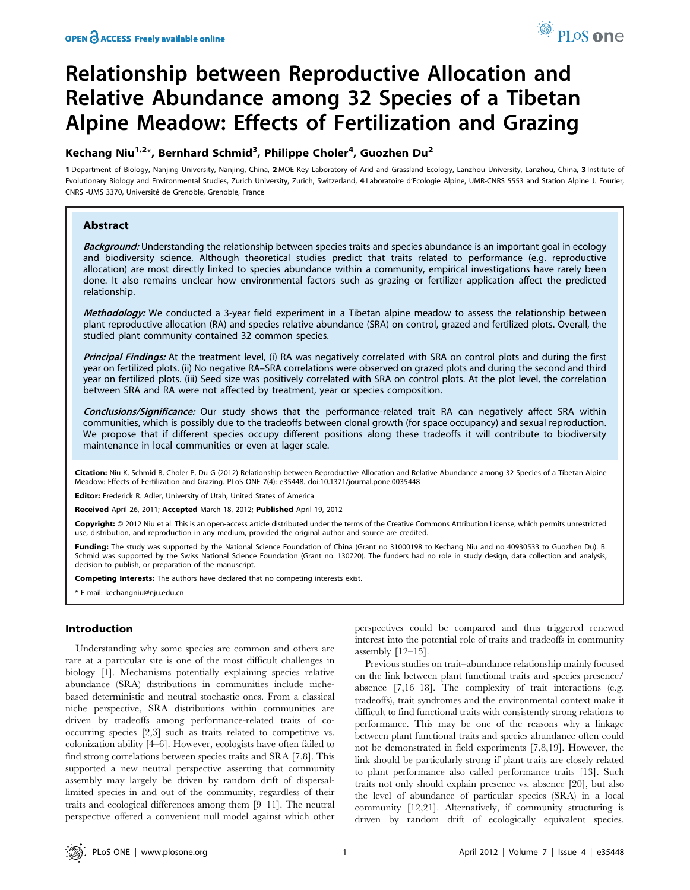# Relationship between Reproductive Allocation and Relative Abundance among 32 Species of a Tibetan Alpine Meadow: Effects of Fertilization and Grazing

# Kechang Niu<sup>1,2</sup>\*, Bernhard Schmid<sup>3</sup>, Philippe Choler<sup>4</sup>, Guozhen Du<sup>2</sup>

1 Department of Biology, Nanjing University, Nanjing, China, 2 MOE Key Laboratory of Arid and Grassland Ecology, Lanzhou University, Lanzhou, China, 3 Institute of Evolutionary Biology and Environmental Studies, Zurich University, Zurich, Switzerland, 4 Laboratoire d'Ecologie Alpine, UMR-CNRS 5553 and Station Alpine J. Fourier, CNRS -UMS 3370, Universite´ de Grenoble, Grenoble, France

# Abstract

Background: Understanding the relationship between species traits and species abundance is an important goal in ecology and biodiversity science. Although theoretical studies predict that traits related to performance (e.g. reproductive allocation) are most directly linked to species abundance within a community, empirical investigations have rarely been done. It also remains unclear how environmental factors such as grazing or fertilizer application affect the predicted relationship.

Methodology: We conducted a 3-year field experiment in a Tibetan alpine meadow to assess the relationship between plant reproductive allocation (RA) and species relative abundance (SRA) on control, grazed and fertilized plots. Overall, the studied plant community contained 32 common species.

Principal Findings: At the treatment level, (i) RA was negatively correlated with SRA on control plots and during the first year on fertilized plots. (ii) No negative RA–SRA correlations were observed on grazed plots and during the second and third year on fertilized plots. (iii) Seed size was positively correlated with SRA on control plots. At the plot level, the correlation between SRA and RA were not affected by treatment, year or species composition.

Conclusions/Significance: Our study shows that the performance-related trait RA can negatively affect SRA within communities, which is possibly due to the tradeoffs between clonal growth (for space occupancy) and sexual reproduction. We propose that if different species occupy different positions along these tradeoffs it will contribute to biodiversity maintenance in local communities or even at lager scale.

Citation: Niu K, Schmid B, Choler P, Du G (2012) Relationship between Reproductive Allocation and Relative Abundance among 32 Species of a Tibetan Alpine Meadow: Effects of Fertilization and Grazing. PLoS ONE 7(4): e35448. doi:10.1371/journal.pone.0035448

Editor: Frederick R. Adler, University of Utah, United States of America

Received April 26, 2011; Accepted March 18, 2012; Published April 19, 2012

Copyright: © 2012 Niu et al. This is an open-access article distributed under the terms of the Creative Commons Attribution License, which permits unrestricted use, distribution, and reproduction in any medium, provided the original author and source are credited.

Funding: The study was supported by the National Science Foundation of China (Grant no 31000198 to Kechang Niu and no 40930533 to Guozhen Du). B. Schmid was supported by the Swiss National Science Foundation (Grant no. 130720). The funders had no role in study design, data collection and analysis, decision to publish, or preparation of the manuscript.

Competing Interests: The authors have declared that no competing interests exist.

E-mail: kechangniu@nju.edu.cn

#### Introduction

Understanding why some species are common and others are rare at a particular site is one of the most difficult challenges in biology [1]. Mechanisms potentially explaining species relative abundance (SRA) distributions in communities include nichebased deterministic and neutral stochastic ones. From a classical niche perspective, SRA distributions within communities are driven by tradeoffs among performance-related traits of cooccurring species [2,3] such as traits related to competitive vs. colonization ability [4–6]. However, ecologists have often failed to find strong correlations between species traits and SRA [7,8]. This supported a new neutral perspective asserting that community assembly may largely be driven by random drift of dispersallimited species in and out of the community, regardless of their traits and ecological differences among them [9–11]. The neutral perspective offered a convenient null model against which other

perspectives could be compared and thus triggered renewed interest into the potential role of traits and tradeoffs in community assembly  $[12-15]$ .

Previous studies on trait–abundance relationship mainly focused on the link between plant functional traits and species presence/ absence [7,16–18]. The complexity of trait interactions (e.g. tradeoffs), trait syndromes and the environmental context make it difficult to find functional traits with consistently strong relations to performance. This may be one of the reasons why a linkage between plant functional traits and species abundance often could not be demonstrated in field experiments [7,8,19]. However, the link should be particularly strong if plant traits are closely related to plant performance also called performance traits [13]. Such traits not only should explain presence vs. absence [20], but also the level of abundance of particular species (SRA) in a local community [12,21]. Alternatively, if community structuring is driven by random drift of ecologically equivalent species,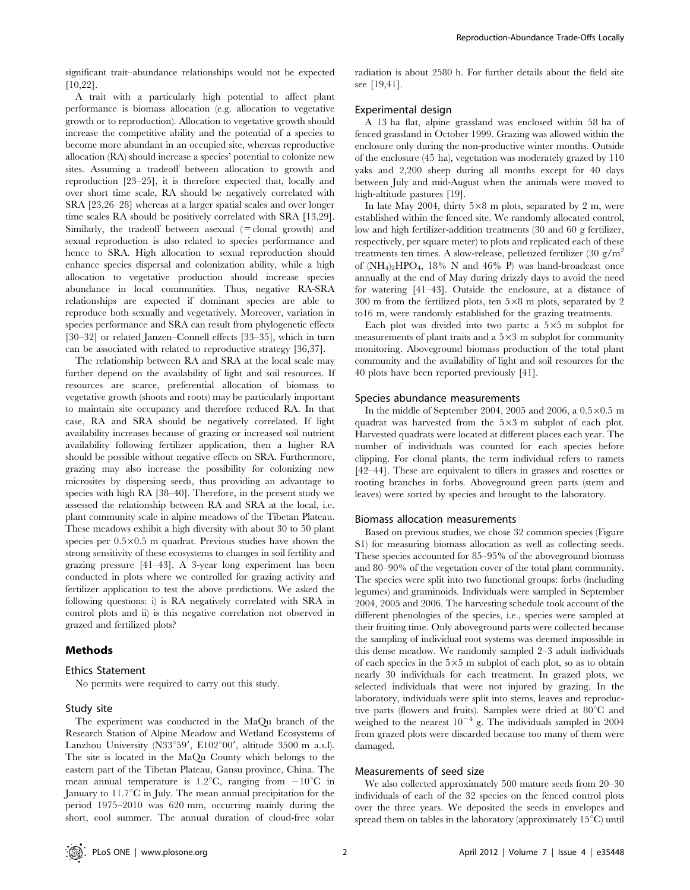significant trait–abundance relationships would not be expected [10,22].

A trait with a particularly high potential to affect plant performance is biomass allocation (e.g. allocation to vegetative growth or to reproduction). Allocation to vegetative growth should increase the competitive ability and the potential of a species to become more abundant in an occupied site, whereas reproductive allocation (RA) should increase a species' potential to colonize new sites. Assuming a tradeoff between allocation to growth and reproduction [23–25], it is therefore expected that, locally and over short time scale, RA should be negatively correlated with SRA [23,26–28] whereas at a larger spatial scales and over longer time scales RA should be positively correlated with SRA [13,29]. Similarly, the tradeoff between as<br>exual  $( =$  clonal growth) and sexual reproduction is also related to species performance and hence to SRA. High allocation to sexual reproduction should enhance species dispersal and colonization ability, while a high allocation to vegetative production should increase species abundance in local communities. Thus, negative RA-SRA relationships are expected if dominant species are able to reproduce both sexually and vegetatively. Moreover, variation in species performance and SRA can result from phylogenetic effects [30–32] or related Janzen–Connell effects [33–35], which in turn can be associated with related to reproductive strategy [36,37].

The relationship between RA and SRA at the local scale may further depend on the availability of light and soil resources. If resources are scarce, preferential allocation of biomass to vegetative growth (shoots and roots) may be particularly important to maintain site occupancy and therefore reduced RA. In that case, RA and SRA should be negatively correlated. If light availability increases because of grazing or increased soil nutrient availability following fertilizer application, then a higher RA should be possible without negative effects on SRA. Furthermore, grazing may also increase the possibility for colonizing new microsites by dispersing seeds, thus providing an advantage to species with high RA [38–40]. Therefore, in the present study we assessed the relationship between RA and SRA at the local, i.e. plant community scale in alpine meadows of the Tibetan Plateau. These meadows exhibit a high diversity with about 30 to 50 plant species per  $0.5 \times 0.5$  m quadrat. Previous studies have shown the strong sensitivity of these ecosystems to changes in soil fertility and grazing pressure [41–43]. A 3-year long experiment has been conducted in plots where we controlled for grazing activity and fertilizer application to test the above predictions. We asked the following questions: i) is RA negatively correlated with SRA in control plots and ii) is this negative correlation not observed in grazed and fertilized plots?

# Methods

#### Ethics Statement

No permits were required to carry out this study.

#### Study site

The experiment was conducted in the MaQu branch of the Research Station of Alpine Meadow and Wetland Ecosystems of Lanzhou University (N33°59', E102°00', altitude 3500 m a.s.l). The site is located in the MaQu County which belongs to the eastern part of the Tibetan Plateau, Gansu province, China. The mean annual temperature is 1.2<sup>o</sup>C, ranging from  $-10^{\circ}$ C in January to  $11.7^{\circ}$ C in July. The mean annual precipitation for the period 1975–2010 was 620 mm, occurring mainly during the short, cool summer. The annual duration of cloud-free solar

radiation is about 2580 h. For further details about the field site see [19,41].

#### Experimental design

A 13 ha flat, alpine grassland was enclosed within 58 ha of fenced grassland in October 1999. Grazing was allowed within the enclosure only during the non-productive winter months. Outside of the enclosure (45 ha), vegetation was moderately grazed by 110 yaks and 2,200 sheep during all months except for 40 days between July and mid-August when the animals were moved to high-altitude pastures [19].

In late May 2004, thirty  $5\times8$  m plots, separated by 2 m, were established within the fenced site. We randomly allocated control, low and high fertilizer-addition treatments (30 and 60 g fertilizer, respectively, per square meter) to plots and replicated each of these treatments ten times. A slow-release, pelletized fertilizer (30 g/m<sup>2</sup>) of  $(NH_4)_2HPO_4$ , 18% N and 46% P) was hand-broadcast once annually at the end of May during drizzly days to avoid the need for watering [41–43]. Outside the enclosure, at a distance of 300 m from the fertilized plots, ten  $5\times8$  m plots, separated by 2 to16 m, were randomly established for the grazing treatments.

Each plot was divided into two parts: a  $5\times 5$  m subplot for measurements of plant traits and a  $5\times3$  m subplot for community monitoring. Aboveground biomass production of the total plant community and the availability of light and soil resources for the 40 plots have been reported previously [41].

#### Species abundance measurements

In the middle of September 2004, 2005 and 2006, a  $0.5 \times 0.5$  m quadrat was harvested from the  $5\times3$  m subplot of each plot. Harvested quadrats were located at different places each year. The number of individuals was counted for each species before clipping. For clonal plants, the term individual refers to ramets [42–44]. These are equivalent to tillers in grasses and rosettes or rooting branches in forbs. Aboveground green parts (stem and leaves) were sorted by species and brought to the laboratory.

#### Biomass allocation measurements

Based on previous studies, we chose 32 common species (Figure S1) for measuring biomass allocation as well as collecting seeds. These species accounted for 85–95% of the aboveground biomass and 80–90% of the vegetation cover of the total plant community. The species were split into two functional groups: forbs (including legumes) and graminoids. Individuals were sampled in September 2004, 2005 and 2006. The harvesting schedule took account of the different phenologies of the species, i.e., species were sampled at their fruiting time. Only aboveground parts were collected because the sampling of individual root systems was deemed impossible in this dense meadow. We randomly sampled 2–3 adult individuals of each species in the  $5\times5$  m subplot of each plot, so as to obtain nearly 30 individuals for each treatment. In grazed plots, we selected individuals that were not injured by grazing. In the laboratory, individuals were split into stems, leaves and reproductive parts (flowers and fruits). Samples were dried at 80°C and weighed to the nearest  $10^{-4}$  g. The individuals sampled in 2004 from grazed plots were discarded because too many of them were damaged.

## Measurements of seed size

We also collected approximately 500 mature seeds from 20–30 individuals of each of the 32 species on the fenced control plots over the three years. We deposited the seeds in envelopes and spread them on tables in the laboratory (approximately  $15^{\circ}$ C) until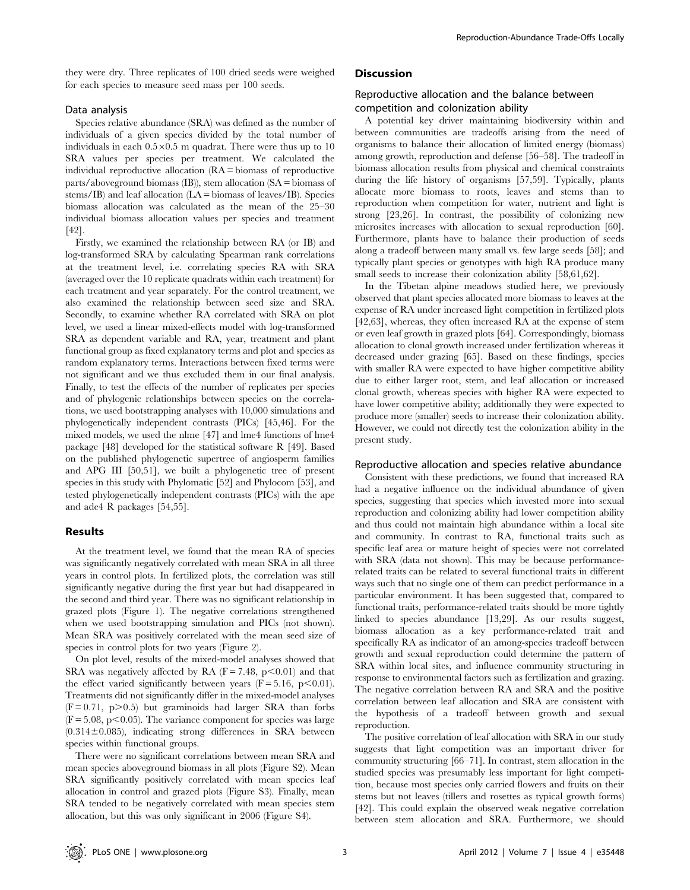they were dry. Three replicates of 100 dried seeds were weighed for each species to measure seed mass per 100 seeds.

## Data analysis

Species relative abundance (SRA) was defined as the number of individuals of a given species divided by the total number of individuals in each  $0.5 \times 0.5$  m quadrat. There were thus up to 10 SRA values per species per treatment. We calculated the individual reproductive allocation (RA = biomass of reproductive parts/aboveground biomass (IB)), stem allocation (SA = biomass of stems/IB) and leaf allocation (LA = biomass of leaves/IB). Species biomass allocation was calculated as the mean of the 25–30 individual biomass allocation values per species and treatment [42].

Firstly, we examined the relationship between RA (or IB) and log-transformed SRA by calculating Spearman rank correlations at the treatment level, i.e. correlating species RA with SRA (averaged over the 10 replicate quadrats within each treatment) for each treatment and year separately. For the control treatment, we also examined the relationship between seed size and SRA. Secondly, to examine whether RA correlated with SRA on plot level, we used a linear mixed-effects model with log-transformed SRA as dependent variable and RA, year, treatment and plant functional group as fixed explanatory terms and plot and species as random explanatory terms. Interactions between fixed terms were not significant and we thus excluded them in our final analysis. Finally, to test the effects of the number of replicates per species and of phylogenic relationships between species on the correlations, we used bootstrapping analyses with 10,000 simulations and phylogenetically independent contrasts (PICs) [45,46]. For the mixed models, we used the nlme [47] and lme4 functions of lme4 package [48] developed for the statistical software R [49]. Based on the published phylogenetic supertree of angiosperm families and APG III [50,51], we built a phylogenetic tree of present species in this study with Phylomatic [52] and Phylocom [53], and tested phylogenetically independent contrasts (PICs) with the ape and ade4 R packages [54,55].

#### Results

At the treatment level, we found that the mean RA of species was significantly negatively correlated with mean SRA in all three years in control plots. In fertilized plots, the correlation was still significantly negative during the first year but had disappeared in the second and third year. There was no significant relationship in grazed plots (Figure 1). The negative correlations strengthened when we used bootstrapping simulation and PICs (not shown). Mean SRA was positively correlated with the mean seed size of species in control plots for two years (Figure 2).

On plot level, results of the mixed-model analyses showed that SRA was negatively affected by RA  $(F = 7.48, p \le 0.01)$  and that the effect varied significantly between years  $(F = 5.16, p < 0.01)$ . Treatments did not significantly differ in the mixed-model analyses  $(F = 0.71, p > 0.5)$  but graminoids had larger SRA than forbs  $(F = 5.08, p \le 0.05)$ . The variance component for species was large  $(0.314 \pm 0.085)$ , indicating strong differences in SRA between species within functional groups.

There were no significant correlations between mean SRA and mean species aboveground biomass in all plots (Figure S2). Mean SRA significantly positively correlated with mean species leaf allocation in control and grazed plots (Figure S3). Finally, mean SRA tended to be negatively correlated with mean species stem allocation, but this was only significant in 2006 (Figure S4).

# **Discussion**

## Reproductive allocation and the balance between competition and colonization ability

A potential key driver maintaining biodiversity within and between communities are tradeoffs arising from the need of organisms to balance their allocation of limited energy (biomass) among growth, reproduction and defense [56–58]. The tradeoff in biomass allocation results from physical and chemical constraints during the life history of organisms [57,59]. Typically, plants allocate more biomass to roots, leaves and stems than to reproduction when competition for water, nutrient and light is strong [23,26]. In contrast, the possibility of colonizing new microsites increases with allocation to sexual reproduction [60]. Furthermore, plants have to balance their production of seeds along a tradeoff between many small vs. few large seeds [58]; and typically plant species or genotypes with high RA produce many small seeds to increase their colonization ability [58,61,62].

In the Tibetan alpine meadows studied here, we previously observed that plant species allocated more biomass to leaves at the expense of RA under increased light competition in fertilized plots [42,63], whereas, they often increased RA at the expense of stem or even leaf growth in grazed plots [64]. Correspondingly, biomass allocation to clonal growth increased under fertilization whereas it decreased under grazing [65]. Based on these findings, species with smaller RA were expected to have higher competitive ability due to either larger root, stem, and leaf allocation or increased clonal growth, whereas species with higher RA were expected to have lower competitive ability; additionally they were expected to produce more (smaller) seeds to increase their colonization ability. However, we could not directly test the colonization ability in the present study.

#### Reproductive allocation and species relative abundance

Consistent with these predictions, we found that increased RA had a negative influence on the individual abundance of given species, suggesting that species which invested more into sexual reproduction and colonizing ability had lower competition ability and thus could not maintain high abundance within a local site and community. In contrast to RA, functional traits such as specific leaf area or mature height of species were not correlated with SRA (data not shown). This may be because performancerelated traits can be related to several functional traits in different ways such that no single one of them can predict performance in a particular environment. It has been suggested that, compared to functional traits, performance-related traits should be more tightly linked to species abundance [13,29]. As our results suggest, biomass allocation as a key performance-related trait and specifically RA as indicator of an among-species tradeoff between growth and sexual reproduction could determine the pattern of SRA within local sites, and influence community structuring in response to environmental factors such as fertilization and grazing. The negative correlation between RA and SRA and the positive correlation between leaf allocation and SRA are consistent with the hypothesis of a tradeoff between growth and sexual reproduction.

The positive correlation of leaf allocation with SRA in our study suggests that light competition was an important driver for community structuring [66–71]. In contrast, stem allocation in the studied species was presumably less important for light competition, because most species only carried flowers and fruits on their stems but not leaves (tillers and rosettes as typical growth forms) [42]. This could explain the observed weak negative correlation between stem allocation and SRA. Furthermore, we should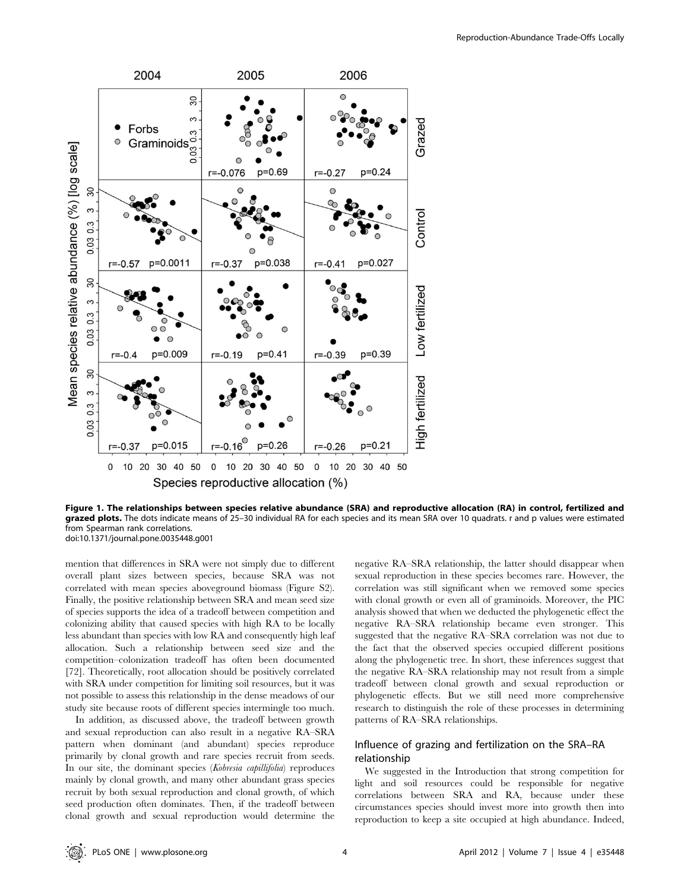

Figure 1. The relationships between species relative abundance (SRA) and reproductive allocation (RA) in control, fertilized and grazed plots. The dots indicate means of 25-30 individual RA for each species and its mean SRA over 10 quadrats. r and p values were estimated from Spearman rank correlations. doi:10.1371/journal.pone.0035448.g001

mention that differences in SRA were not simply due to different overall plant sizes between species, because SRA was not correlated with mean species aboveground biomass (Figure S2). Finally, the positive relationship between SRA and mean seed size of species supports the idea of a tradeoff between competition and colonizing ability that caused species with high RA to be locally less abundant than species with low RA and consequently high leaf allocation. Such a relationship between seed size and the competition–colonization tradeoff has often been documented [72]. Theoretically, root allocation should be positively correlated with SRA under competition for limiting soil resources, but it was not possible to assess this relationship in the dense meadows of our study site because roots of different species intermingle too much.

In addition, as discussed above, the tradeoff between growth and sexual reproduction can also result in a negative RA–SRA pattern when dominant (and abundant) species reproduce primarily by clonal growth and rare species recruit from seeds. In our site, the dominant species (Kobresia capillifolia) reproduces mainly by clonal growth, and many other abundant grass species recruit by both sexual reproduction and clonal growth, of which seed production often dominates. Then, if the tradeoff between clonal growth and sexual reproduction would determine the negative RA–SRA relationship, the latter should disappear when sexual reproduction in these species becomes rare. However, the correlation was still significant when we removed some species with clonal growth or even all of graminoids. Moreover, the PIC analysis showed that when we deducted the phylogenetic effect the negative RA–SRA relationship became even stronger. This suggested that the negative RA–SRA correlation was not due to the fact that the observed species occupied different positions along the phylogenetic tree. In short, these inferences suggest that the negative RA–SRA relationship may not result from a simple tradeoff between clonal growth and sexual reproduction or phylogenetic effects. But we still need more comprehensive research to distinguish the role of these processes in determining patterns of RA–SRA relationships.

# Influence of grazing and fertilization on the SRA–RA relationship

We suggested in the Introduction that strong competition for light and soil resources could be responsible for negative correlations between SRA and RA, because under these circumstances species should invest more into growth then into reproduction to keep a site occupied at high abundance. Indeed,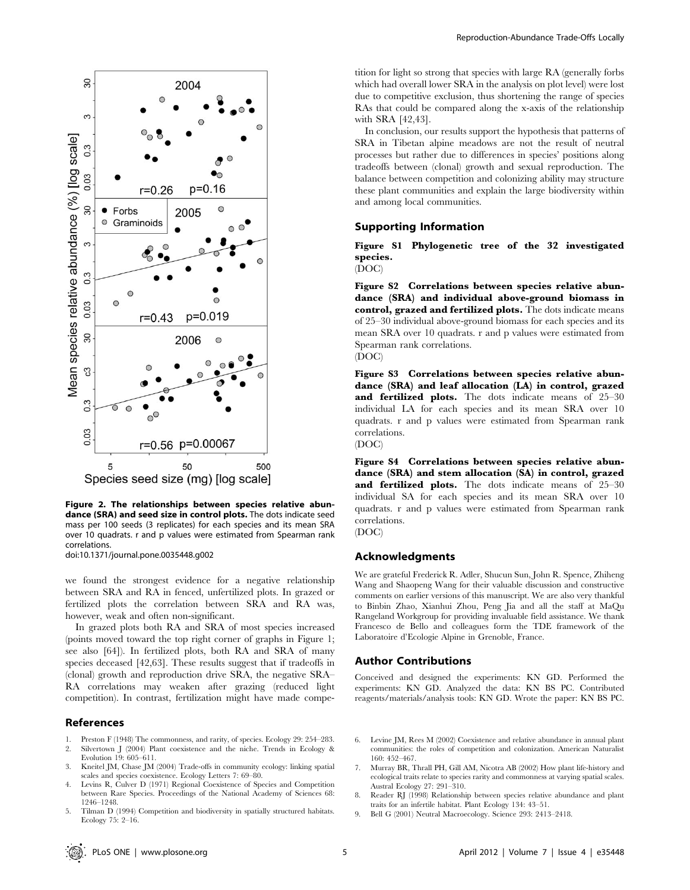

Figure 2. The relationships between species relative abundance (SRA) and seed size in control plots. The dots indicate seed mass per 100 seeds (3 replicates) for each species and its mean SRA over 10 quadrats. r and p values were estimated from Spearman rank correlations.

doi:10.1371/journal.pone.0035448.g002

we found the strongest evidence for a negative relationship between SRA and RA in fenced, unfertilized plots. In grazed or fertilized plots the correlation between SRA and RA was, however, weak and often non-significant.

In grazed plots both RA and SRA of most species increased (points moved toward the top right corner of graphs in Figure 1; see also [64]). In fertilized plots, both RA and SRA of many species deceased [42,63]. These results suggest that if tradeoffs in (clonal) growth and reproduction drive SRA, the negative SRA– RA correlations may weaken after grazing (reduced light competition). In contrast, fertilization might have made compe-

#### References

- 1. Preston F (1948) The commonness, and rarity, of species. Ecology 29: 254–283.<br>2. Silvertown J (2004) Plant coexistence and the niche. Trends in Ecology &
- Silvertown J (2004) Plant coexistence and the niche. Trends in Ecology & Evolution 19: 605–611.
- 3. Kneitel JM, Chase JM (2004) Trade-offs in community ecology: linking spatial scales and species coexistence. Ecology Letters 7: 69–80.
- 4. Levins R, Culver D (1971) Regional Coexistence of Species and Competition between Rare Species. Proceedings of the National Academy of Sciences 68: 1246–1248.
- Tilman D (1994) Competition and biodiversity in spatially structured habitats. Ecology 75: 2–16.

tition for light so strong that species with large RA (generally forbs which had overall lower SRA in the analysis on plot level) were lost due to competitive exclusion, thus shortening the range of species RAs that could be compared along the x-axis of the relationship with SRA [42,43].

In conclusion, our results support the hypothesis that patterns of SRA in Tibetan alpine meadows are not the result of neutral processes but rather due to differences in species' positions along tradeoffs between (clonal) growth and sexual reproduction. The balance between competition and colonizing ability may structure these plant communities and explain the large biodiversity within and among local communities.

## Supporting Information

Figure S1 Phylogenetic tree of the 32 investigated species.

(DOC)

Figure S2 Correlations between species relative abundance (SRA) and individual above-ground biomass in control, grazed and fertilized plots. The dots indicate means of 25–30 individual above-ground biomass for each species and its mean SRA over 10 quadrats. r and p values were estimated from Spearman rank correlations. (DOC)

Figure S3 Correlations between species relative abundance (SRA) and leaf allocation (LA) in control, grazed and fertilized plots. The dots indicate means of 25-30 individual LA for each species and its mean SRA over 10 quadrats. r and p values were estimated from Spearman rank correlations. (DOC)

Figure S4 Correlations between species relative abundance (SRA) and stem allocation (SA) in control, grazed and fertilized plots. The dots indicate means of 25-30 individual SA for each species and its mean SRA over 10 quadrats. r and p values were estimated from Spearman rank correlations. (DOC)

## Acknowledgments

We are grateful Frederick R. Adler, Shucun Sun, John R. Spence, Zhiheng Wang and Shaopeng Wang for their valuable discussion and constructive comments on earlier versions of this manuscript. We are also very thankful to Binbin Zhao, Xianhui Zhou, Peng Jia and all the staff at MaQu Rangeland Workgroup for providing invaluable field assistance. We thank Francesco de Bello and colleagues form the TDE framework of the Laboratoire d'Ecologie Alpine in Grenoble, France.

# Author Contributions

Conceived and designed the experiments: KN GD. Performed the experiments: KN GD. Analyzed the data: KN BS PC. Contributed reagents/materials/analysis tools: KN GD. Wrote the paper: KN BS PC.

- 6. Levine JM, Rees M (2002) Coexistence and relative abundance in annual plant communities: the roles of competition and colonization. American Naturalist 160: 452–467.
- 7. Murray BR, Thrall PH, Gill AM, Nicotra AB (2002) How plant life-history and ecological traits relate to species rarity and commonness at varying spatial scales. Austral Ecology 27: 291–310.
- 8. Reader RJ (1998) Relationship between species relative abundance and plant traits for an infertile habitat. Plant Ecology 134: 43–51.
- 9. Bell G (2001) Neutral Macroecology. Science 293: 2413–2418.